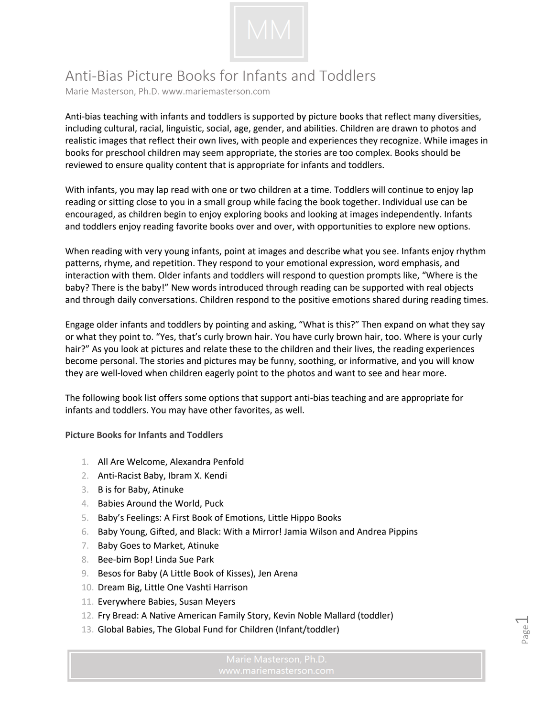

## Anti-Bias Picture Books for Infants and Toddlers

Marie Masterson, Ph.D. www.mariemasterson.com

Anti-bias teaching with infants and toddlers is supported by picture books that reflect many diversities, including cultural, racial, linguistic, social, age, gender, and abilities. Children are drawn to photos and realistic images that reflect their own lives, with people and experiences they recognize. While images in books for preschool children may seem appropriate, the stories are too complex. Books should be reviewed to ensure quality content that is appropriate for infants and toddlers.

With infants, you may lap read with one or two children at a time. Toddlers will continue to enjoy lap reading or sitting close to you in a small group while facing the book together. Individual use can be encouraged, as children begin to enjoy exploring books and looking at images independently. Infants and toddlers enjoy reading favorite books over and over, with opportunities to explore new options.

When reading with very young infants, point at images and describe what you see. Infants enjoy rhythm patterns, rhyme, and repetition. They respond to your emotional expression, word emphasis, and interaction with them. Older infants and toddlers will respond to question prompts like, "Where is the baby? There is the baby!" New words introduced through reading can be supported with real objects and through daily conversations. Children respond to the positive emotions shared during reading times.

Engage older infants and toddlers by pointing and asking, "What is this?" Then expand on what they say or what they point to. "Yes, that's curly brown hair. You have curly brown hair, too. Where is your curly hair?" As you look at pictures and relate these to the children and their lives, the reading experiences become personal. The stories and pictures may be funny, soothing, or informative, and you will know they are well-loved when children eagerly point to the photos and want to see and hear more.

The following book list offers some options that support anti-bias teaching and are appropriate for infants and toddlers. You may have other favorites, as well.

**Picture Books for Infants and Toddlers**

- 1. All Are Welcome, Alexandra Penfold
- 2. Anti-Racist Baby, Ibram X. Kendi
- 3. B is for Baby, Atinuke
- 4. Babies Around the World, Puck
- 5. Baby's Feelings: A First Book of Emotions, Little Hippo Books
- 6. Baby Young, Gifted, and Black: With a Mirror! Jamia Wilson and Andrea Pippins
- 7. Baby Goes to Market, Atinuke
- 8. Bee-bim Bop! Linda Sue Park
- 9. Besos for Baby (A Little Book of Kisses), Jen Arena
- 10. Dream Big, Little One Vashti Harrison
- 11. Everywhere Babies, Susan Meyers
- 12. Fry Bread: A Native American Family Story, Kevin Noble Mallard (toddler)
- 13. Global Babies, The Global Fund for Children (Infant/toddler)

Page  $\overline{\phantom{0}}$